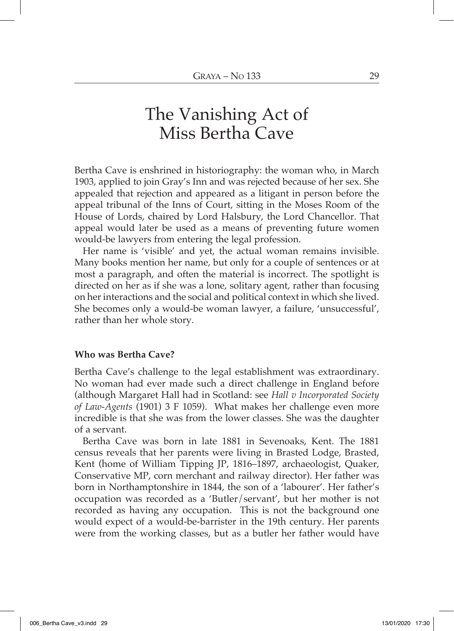# The Vanishing Act of Miss Bertha Cave

Bertha Cave is enshrined in historiography: the woman who, in March 1903, applied to join Gray's Inn and was rejected because of her sex. She appealed that rejection and appeared as a litigant in person before the appeal tribunal of the Inns of Court, sitting in the Moses Room of the House of Lords, chaired by Lord Halsbury, the Lord Chancellor. That appeal would later be used as a means of preventing future women would-be lawyers from entering the legal profession.

Her name is 'visible' and yet, the actual woman remains invisible. Many books mention her name, but only for a couple of sentences or at most a paragraph, and often the material is incorrect. The spotlight is directed on her as if she was a lone, solitary agent, rather than focusing on her interactions and the social and political context in which she lived. She becomes only a would-be woman lawyer, a failure, 'unsuccessful', rather than her whole story.

## **Who was Bertha Cave?**

Bertha Cave's challenge to the legal establishment was extraordinary. No woman had ever made such a direct challenge in England before (although Margaret Hall had in Scotland: see *Hall v Incorporated Society of Law-Agents* (1901) 3 F 1059). What makes her challenge even more incredible is that she was from the lower classes. She was the daughter of a servant.

Bertha Cave was born in late 1881 in Sevenoaks, Kent. The 1881 census reveals that her parents were living in Brasted Lodge, Brasted, Kent (home of William Tipping JP, 1816–1897, archaeologist, Quaker, Conservative MP, corn merchant and railway director). Her father was born in Northamptonshire in 1844, the son of a 'labourer'. Her father's occupation was recorded as a 'Butler/servant', but her mother is not recorded as having any occupation. This is not the background one would expect of a would-be-barrister in the 19th century. Her parents were from the working classes, but as a butler her father would have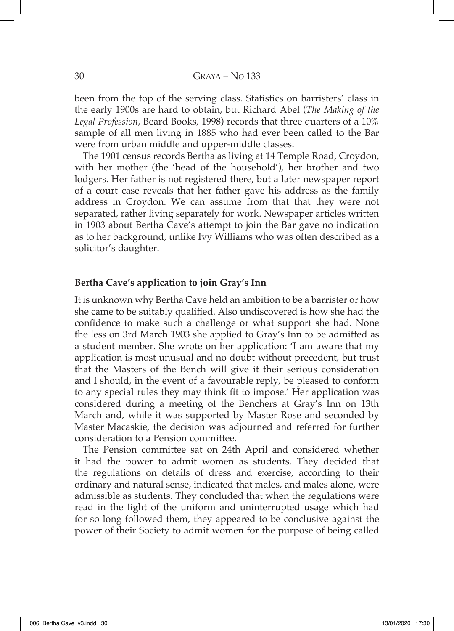been from the top of the serving class. Statistics on barristers' class in the early 1900s are hard to obtain, but Richard Abel (*The Making of the Legal Profession*, Beard Books, 1998) records that three quarters of a 10% sample of all men living in 1885 who had ever been called to the Bar were from urban middle and upper-middle classes.

The 1901 census records Bertha as living at 14 Temple Road, Croydon, with her mother (the 'head of the household'), her brother and two lodgers. Her father is not registered there, but a later newspaper report of a court case reveals that her father gave his address as the family address in Croydon. We can assume from that that they were not separated, rather living separately for work. Newspaper articles written in 1903 about Bertha Cave's attempt to join the Bar gave no indication as to her background, unlike Ivy Williams who was often described as a solicitor's daughter.

### **Bertha Cave's application to join Gray's Inn**

It is unknown why Bertha Cave held an ambition to be a barrister or how she came to be suitably qualified. Also undiscovered is how she had the confidence to make such a challenge or what support she had. None the less on 3rd March 1903 she applied to Gray's Inn to be admitted as a student member. She wrote on her application: 'I am aware that my application is most unusual and no doubt without precedent, but trust that the Masters of the Bench will give it their serious consideration and I should, in the event of a favourable reply, be pleased to conform to any special rules they may think fit to impose.' Her application was considered during a meeting of the Benchers at Gray's Inn on 13th March and, while it was supported by Master Rose and seconded by Master Macaskie, the decision was adjourned and referred for further consideration to a Pension committee.

The Pension committee sat on 24th April and considered whether it had the power to admit women as students. They decided that the regulations on details of dress and exercise, according to their ordinary and natural sense, indicated that males, and males alone, were admissible as students. They concluded that when the regulations were read in the light of the uniform and uninterrupted usage which had for so long followed them, they appeared to be conclusive against the power of their Society to admit women for the purpose of being called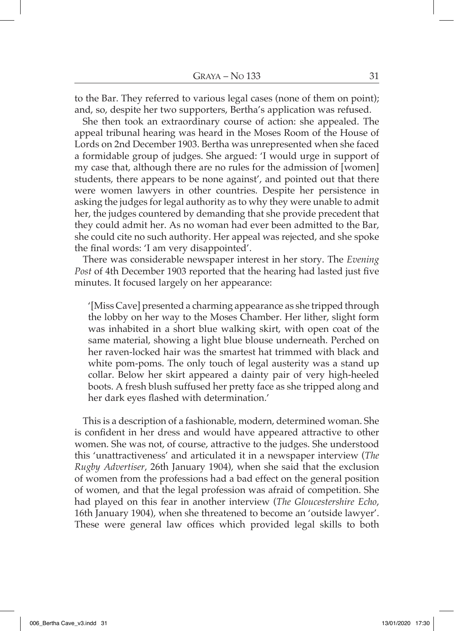to the Bar. They referred to various legal cases (none of them on point); and, so, despite her two supporters, Bertha's application was refused.

She then took an extraordinary course of action: she appealed. The appeal tribunal hearing was heard in the Moses Room of the House of Lords on 2nd December 1903. Bertha was unrepresented when she faced a formidable group of judges. She argued: 'I would urge in support of my case that, although there are no rules for the admission of [women] students, there appears to be none against', and pointed out that there were women lawyers in other countries. Despite her persistence in asking the judges for legal authority as to why they were unable to admit her, the judges countered by demanding that she provide precedent that they could admit her. As no woman had ever been admitted to the Bar, she could cite no such authority. Her appeal was rejected, and she spoke the final words: 'I am very disappointed'.

There was considerable newspaper interest in her story. The *Evening Post* of 4th December 1903 reported that the hearing had lasted just five minutes. It focused largely on her appearance:

'[Miss Cave] presented a charming appearance as she tripped through the lobby on her way to the Moses Chamber. Her lither, slight form was inhabited in a short blue walking skirt, with open coat of the same material, showing a light blue blouse underneath. Perched on her raven-locked hair was the smartest hat trimmed with black and white pom-poms. The only touch of legal austerity was a stand up collar. Below her skirt appeared a dainty pair of very high-heeled boots. A fresh blush suffused her pretty face as she tripped along and her dark eyes flashed with determination.'

This is a description of a fashionable, modern, determined woman. She is confident in her dress and would have appeared attractive to other women. She was not, of course, attractive to the judges. She understood this 'unattractiveness' and articulated it in a newspaper interview (*The Rugby Advertiser*, 26th January 1904), when she said that the exclusion of women from the professions had a bad effect on the general position of women, and that the legal profession was afraid of competition. She had played on this fear in another interview (*The Gloucestershire Echo*, 16th January 1904), when she threatened to become an 'outside lawyer'. These were general law offices which provided legal skills to both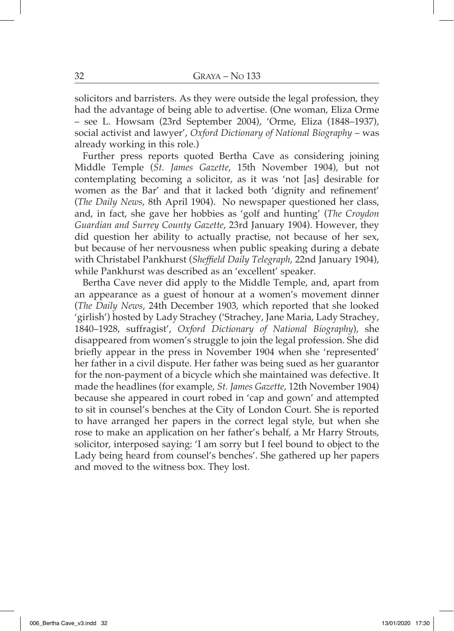solicitors and barristers. As they were outside the legal profession, they had the advantage of being able to advertise. (One woman, Eliza Orme – see L. Howsam (23rd September 2004), 'Orme, Eliza (1848–1937), social activist and lawyer', *Oxford Dictionary of National Biography* – was already working in this role.)

Further press reports quoted Bertha Cave as considering joining Middle Temple (*St. James Gazette*, 15th November 1904), but not contemplating becoming a solicitor, as it was 'not [as] desirable for women as the Bar' and that it lacked both 'dignity and refinement' (*The Daily News*, 8th April 1904). No newspaper questioned her class, and, in fact, she gave her hobbies as 'golf and hunting' (*The Croydon Guardian and Surrey County Gazette*, 23rd January 1904). However, they did question her ability to actually practise, not because of her sex, but because of her nervousness when public speaking during a debate with Christabel Pankhurst (*Sheffield Daily Telegraph*, 22nd January 1904), while Pankhurst was described as an 'excellent' speaker.

Bertha Cave never did apply to the Middle Temple, and, apart from an appearance as a guest of honour at a women's movement dinner (*The Daily News*, 24th December 1903, which reported that she looked 'girlish') hosted by Lady Strachey ('Strachey, Jane Maria, Lady Strachey, 1840–1928, suffragist', *Oxford Dictionary of National Biography*), she disappeared from women's struggle to join the legal profession. She did briefly appear in the press in November 1904 when she 'represented' her father in a civil dispute. Her father was being sued as her guarantor for the non-payment of a bicycle which she maintained was defective. It made the headlines (for example, *St. James Gazette*, 12th November 1904) because she appeared in court robed in 'cap and gown' and attempted to sit in counsel's benches at the City of London Court. She is reported to have arranged her papers in the correct legal style, but when she rose to make an application on her father's behalf, a Mr Harry Strouts, solicitor, interposed saying: 'I am sorry but I feel bound to object to the Lady being heard from counsel's benches'. She gathered up her papers and moved to the witness box. They lost.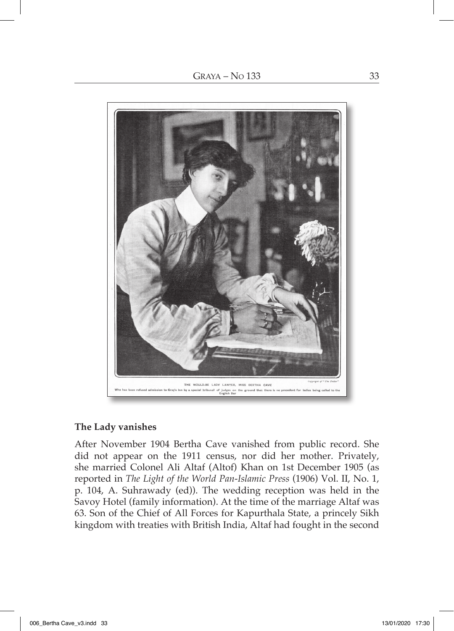

## **The Lady vanishes**

After November 1904 Bertha Cave vanished from public record. She did not appear on the 1911 census, nor did her mother. Privately, she married Colonel Ali Altaf (Altof) Khan on 1st December 1905 (as reported in *The Light of the World Pan-Islamic Press* (1906) Vol. II, No. 1, p. 104, A. Suhrawady (ed)). The wedding reception was held in the Savoy Hotel (family information). At the time of the marriage Altaf was 63. Son of the Chief of All Forces for Kapurthala State, a princely Sikh kingdom with treaties with British India, Altaf had fought in the second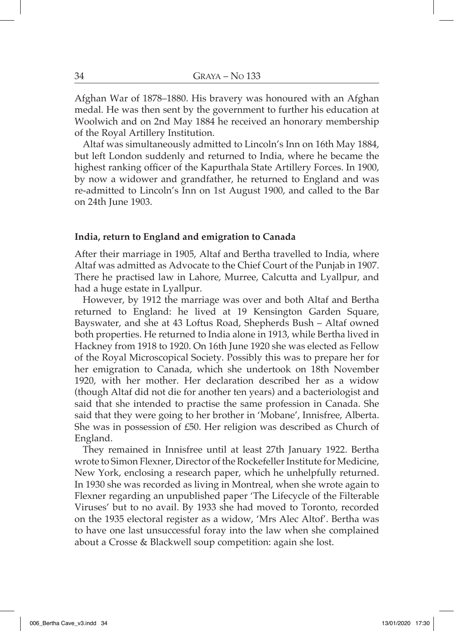Afghan War of 1878–1880. His bravery was honoured with an Afghan medal. He was then sent by the government to further his education at Woolwich and on 2nd May 1884 he received an honorary membership of the Royal Artillery Institution.

Altaf was simultaneously admitted to Lincoln's Inn on 16th May 1884, but left London suddenly and returned to India, where he became the highest ranking officer of the Kapurthala State Artillery Forces. In 1900, by now a widower and grandfather, he returned to England and was re-admitted to Lincoln's Inn on 1st August 1900, and called to the Bar on 24th June 1903.

#### **India, return to England and emigration to Canada**

After their marriage in 1905, Altaf and Bertha travelled to India, where Altaf was admitted as Advocate to the Chief Court of the Punjab in 1907. There he practised law in Lahore, Murree, Calcutta and Lyallpur, and had a huge estate in Lyallpur.

However, by 1912 the marriage was over and both Altaf and Bertha returned to England: he lived at 19 Kensington Garden Square, Bayswater, and she at 43 Loftus Road, Shepherds Bush – Altaf owned both properties. He returned to India alone in 1913, while Bertha lived in Hackney from 1918 to 1920. On 16th June 1920 she was elected as Fellow of the Royal Microscopical Society. Possibly this was to prepare her for her emigration to Canada, which she undertook on 18th November 1920, with her mother. Her declaration described her as a widow (though Altaf did not die for another ten years) and a bacteriologist and said that she intended to practise the same profession in Canada. She said that they were going to her brother in 'Mobane', Innisfree, Alberta. She was in possession of £50. Her religion was described as Church of England.

They remained in Innisfree until at least 27th January 1922. Bertha wrote to Simon Flexner, Director of the Rockefeller Institute for Medicine, New York, enclosing a research paper, which he unhelpfully returned. In 1930 she was recorded as living in Montreal, when she wrote again to Flexner regarding an unpublished paper 'The Lifecycle of the Filterable Viruses' but to no avail. By 1933 she had moved to Toronto, recorded on the 1935 electoral register as a widow, 'Mrs Alec Altof'. Bertha was to have one last unsuccessful foray into the law when she complained about a Crosse & Blackwell soup competition: again she lost.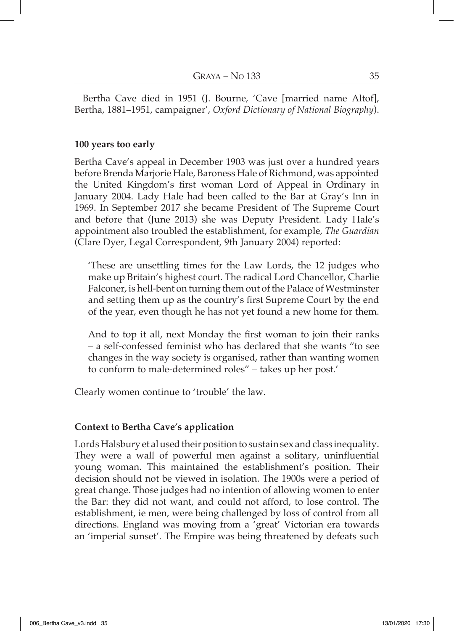Bertha Cave died in 1951 (J. Bourne, 'Cave [married name Altof], Bertha, 1881–1951, campaigner', *Oxford Dictionary of National Biography*).

## **100 years too early**

Bertha Cave's appeal in December 1903 was just over a hundred years before Brenda Marjorie Hale, Baroness Hale of Richmond, was appointed the United Kingdom's first woman Lord of Appeal in Ordinary in January 2004. Lady Hale had been called to the Bar at Gray's Inn in 1969. In September 2017 she became President of The Supreme Court and before that (June 2013) she was Deputy President. Lady Hale's appointment also troubled the establishment, for example, *The Guardian* (Clare Dyer, Legal Correspondent, 9th January 2004) reported:

'These are unsettling times for the Law Lords, the 12 judges who make up Britain's highest court. The radical Lord Chancellor, Charlie Falconer, is hell-bent on turning them out of the Palace of Westminster and setting them up as the country's first Supreme Court by the end of the year, even though he has not yet found a new home for them.

And to top it all, next Monday the first woman to join their ranks – a self-confessed feminist who has declared that she wants "to see changes in the way society is organised, rather than wanting women to conform to male-determined roles" – takes up her post.'

Clearly women continue to 'trouble' the law.

## **Context to Bertha Cave's application**

Lords Halsbury et al used their position to sustain sex and class inequality. They were a wall of powerful men against a solitary, uninfluential young woman. This maintained the establishment's position. Their decision should not be viewed in isolation. The 1900s were a period of great change. Those judges had no intention of allowing women to enter the Bar: they did not want, and could not afford, to lose control. The establishment, ie men, were being challenged by loss of control from all directions. England was moving from a 'great' Victorian era towards an 'imperial sunset'. The Empire was being threatened by defeats such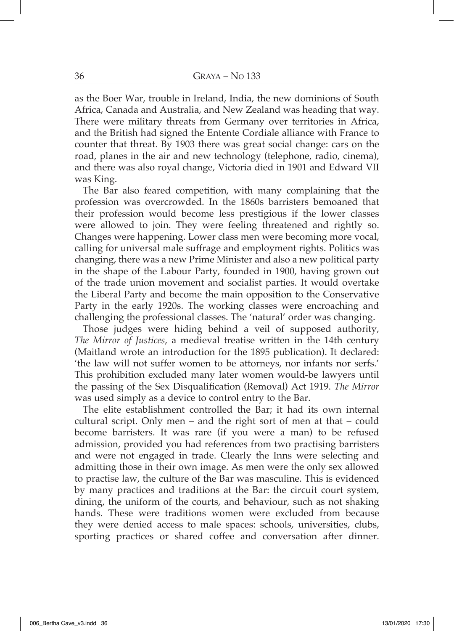as the Boer War, trouble in Ireland, India, the new dominions of South Africa, Canada and Australia, and New Zealand was heading that way. There were military threats from Germany over territories in Africa, and the British had signed the Entente Cordiale alliance with France to counter that threat. By 1903 there was great social change: cars on the road, planes in the air and new technology (telephone, radio, cinema), and there was also royal change, Victoria died in 1901 and Edward VII was King.

The Bar also feared competition, with many complaining that the profession was overcrowded. In the 1860s barristers bemoaned that their profession would become less prestigious if the lower classes were allowed to join. They were feeling threatened and rightly so. Changes were happening. Lower class men were becoming more vocal, calling for universal male suffrage and employment rights. Politics was changing, there was a new Prime Minister and also a new political party in the shape of the Labour Party, founded in 1900, having grown out of the trade union movement and socialist parties. It would overtake the Liberal Party and become the main opposition to the Conservative Party in the early 1920s. The working classes were encroaching and challenging the professional classes. The 'natural' order was changing.

Those judges were hiding behind a veil of supposed authority, *The Mirror of Justices*, a medieval treatise written in the 14th century (Maitland wrote an introduction for the 1895 publication). It declared: 'the law will not suffer women to be attorneys, nor infants nor serfs.' This prohibition excluded many later women would-be lawyers until the passing of the Sex Disqualification (Removal) Act 1919. *The Mirror* was used simply as a device to control entry to the Bar.

The elite establishment controlled the Bar; it had its own internal cultural script. Only men – and the right sort of men at that – could become barristers. It was rare (if you were a man) to be refused admission, provided you had references from two practising barristers and were not engaged in trade. Clearly the Inns were selecting and admitting those in their own image. As men were the only sex allowed to practise law, the culture of the Bar was masculine. This is evidenced by many practices and traditions at the Bar: the circuit court system, dining, the uniform of the courts, and behaviour, such as not shaking hands. These were traditions women were excluded from because they were denied access to male spaces: schools, universities, clubs, sporting practices or shared coffee and conversation after dinner.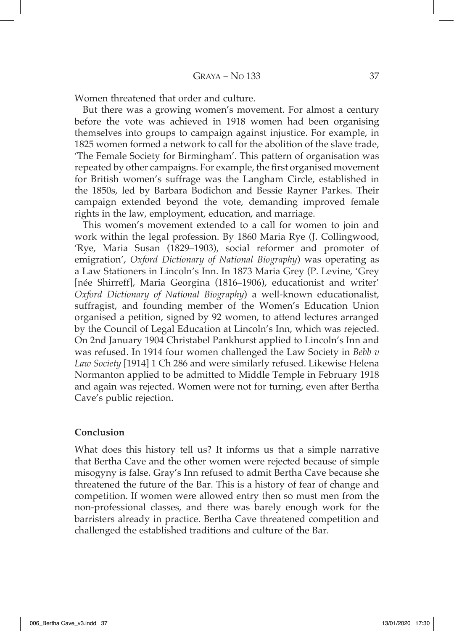Women threatened that order and culture.

But there was a growing women's movement. For almost a century before the vote was achieved in 1918 women had been organising themselves into groups to campaign against injustice. For example, in 1825 women formed a network to call for the abolition of the slave trade, 'The Female Society for Birmingham'. This pattern of organisation was repeated by other campaigns. For example, the first organised movement for British women's suffrage was the Langham Circle, established in the 1850s, led by Barbara Bodichon and Bessie Rayner Parkes. Their campaign extended beyond the vote, demanding improved female rights in the law, employment, education, and marriage.

This women's movement extended to a call for women to join and work within the legal profession. By 1860 Maria Rye (J. Collingwood, 'Rye, Maria Susan (1829–1903), social reformer and promoter of emigration', *Oxford Dictionary of National Biography*) was operating as a Law Stationers in Lincoln's Inn. In 1873 Maria Grey (P. Levine, 'Grey [née Shirreff], Maria Georgina (1816–1906), educationist and writer' *Oxford Dictionary of National Biography*) a well-known educationalist, suffragist, and founding member of the Women's Education Union organised a petition, signed by 92 women, to attend lectures arranged by the Council of Legal Education at Lincoln's Inn, which was rejected. On 2nd January 1904 Christabel Pankhurst applied to Lincoln's Inn and was refused. In 1914 four women challenged the Law Society in *Bebb v Law Society* [1914] 1 Ch 286 and were similarly refused. Likewise Helena Normanton applied to be admitted to Middle Temple in February 1918 and again was rejected. Women were not for turning, even after Bertha Cave's public rejection.

#### **Conclusion**

What does this history tell us? It informs us that a simple narrative that Bertha Cave and the other women were rejected because of simple misogyny is false. Gray's Inn refused to admit Bertha Cave because she threatened the future of the Bar. This is a history of fear of change and competition. If women were allowed entry then so must men from the non-professional classes, and there was barely enough work for the barristers already in practice. Bertha Cave threatened competition and challenged the established traditions and culture of the Bar.